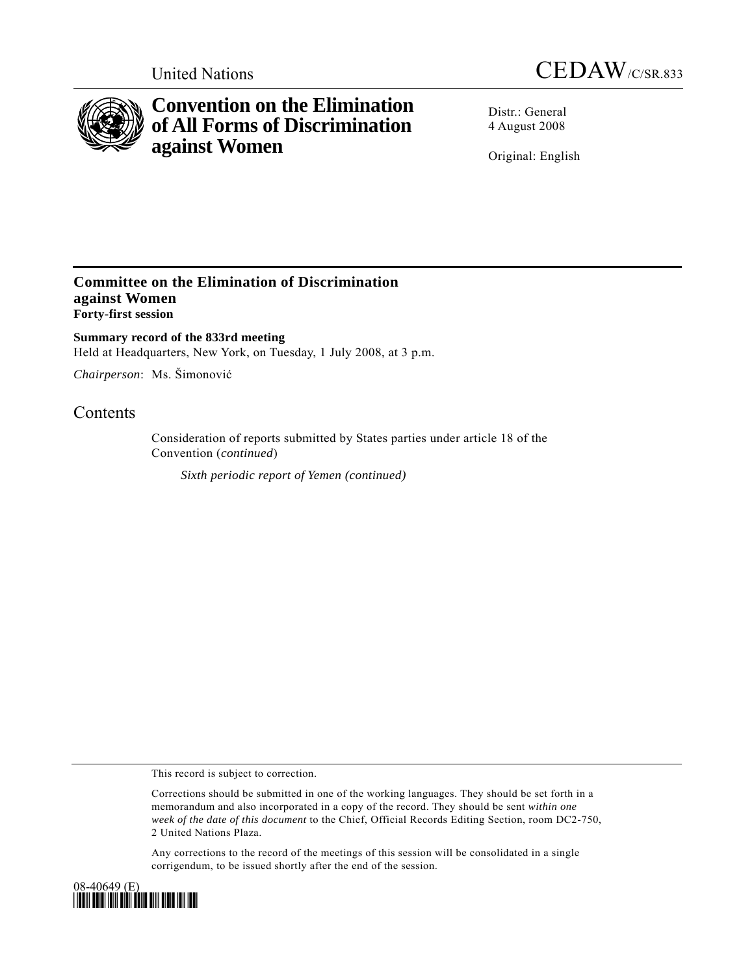



# **Convention on the Elimination of All Forms of Discrimination against Women**

Distr.: General 4 August 2008

Original: English

### **Committee on the Elimination of Discrimination against Women Forty-first session**

**Summary record of the 833rd meeting**  Held at Headquarters, New York, on Tuesday, 1 July 2008, at 3 p.m.

*Chairperson*: Ms. Šimonović

## **Contents**

Consideration of reports submitted by States parties under article 18 of the Convention (*continued*)

*Sixth periodic report of Yemen (continued)* 

This record is subject to correction.

Corrections should be submitted in one of the working languages. They should be set forth in a memorandum and also incorporated in a copy of the record. They should be sent *within one week of the date of this document* to the Chief, Official Records Editing Section, room DC2-750, 2 United Nations Plaza.

Any corrections to the record of the meetings of this session will be consolidated in a single corrigendum, to be issued shortly after the end of the session.

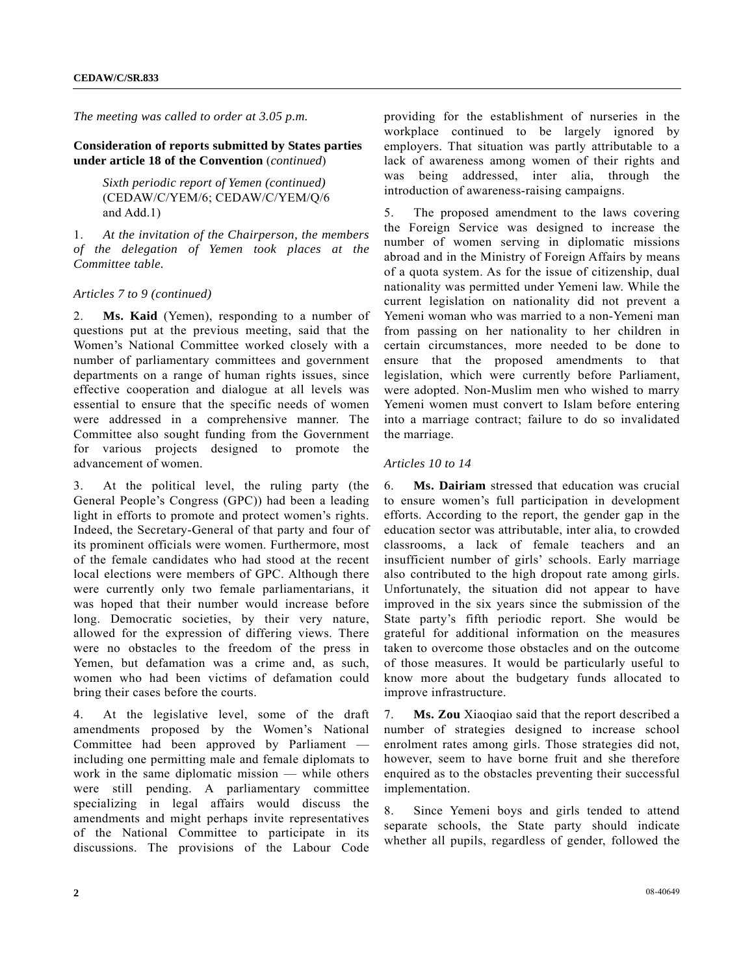*The meeting was called to order at 3.05 p.m.*

#### **Consideration of reports submitted by States parties under article 18 of the Convention** (*continued*)

 *Sixth periodic report of Yemen (continued)*  (CEDAW/C/YEM/6; CEDAW/C/YEM/Q/6 and Add.1)

1. *At the invitation of the Chairperson, the members of the delegation of Yemen took places at the Committee table.*

#### *Articles 7 to 9 (continued)*

2. **Ms. Kaid** (Yemen), responding to a number of questions put at the previous meeting, said that the Women's National Committee worked closely with a number of parliamentary committees and government departments on a range of human rights issues, since effective cooperation and dialogue at all levels was essential to ensure that the specific needs of women were addressed in a comprehensive manner. The Committee also sought funding from the Government for various projects designed to promote the advancement of women.

3. At the political level, the ruling party (the General People's Congress (GPC)) had been a leading light in efforts to promote and protect women's rights. Indeed, the Secretary-General of that party and four of its prominent officials were women. Furthermore, most of the female candidates who had stood at the recent local elections were members of GPC. Although there were currently only two female parliamentarians, it was hoped that their number would increase before long. Democratic societies, by their very nature, allowed for the expression of differing views. There were no obstacles to the freedom of the press in Yemen, but defamation was a crime and, as such, women who had been victims of defamation could bring their cases before the courts.

4. At the legislative level, some of the draft amendments proposed by the Women's National Committee had been approved by Parliament including one permitting male and female diplomats to work in the same diplomatic mission — while others were still pending. A parliamentary committee specializing in legal affairs would discuss the amendments and might perhaps invite representatives of the National Committee to participate in its discussions. The provisions of the Labour Code

providing for the establishment of nurseries in the workplace continued to be largely ignored by employers. That situation was partly attributable to a lack of awareness among women of their rights and was being addressed, inter alia, through the introduction of awareness-raising campaigns.

5. The proposed amendment to the laws covering the Foreign Service was designed to increase the number of women serving in diplomatic missions abroad and in the Ministry of Foreign Affairs by means of a quota system. As for the issue of citizenship, dual nationality was permitted under Yemeni law. While the current legislation on nationality did not prevent a Yemeni woman who was married to a non-Yemeni man from passing on her nationality to her children in certain circumstances, more needed to be done to ensure that the proposed amendments to that legislation, which were currently before Parliament, were adopted. Non-Muslim men who wished to marry Yemeni women must convert to Islam before entering into a marriage contract; failure to do so invalidated the marriage.

#### *Articles 10 to 14*

6. **Ms. Dairiam** stressed that education was crucial to ensure women's full participation in development efforts. According to the report, the gender gap in the education sector was attributable, inter alia, to crowded classrooms, a lack of female teachers and an insufficient number of girls' schools. Early marriage also contributed to the high dropout rate among girls. Unfortunately, the situation did not appear to have improved in the six years since the submission of the State party's fifth periodic report. She would be grateful for additional information on the measures taken to overcome those obstacles and on the outcome of those measures. It would be particularly useful to know more about the budgetary funds allocated to improve infrastructure.

7. **Ms. Zou** Xiaoqiao said that the report described a number of strategies designed to increase school enrolment rates among girls. Those strategies did not, however, seem to have borne fruit and she therefore enquired as to the obstacles preventing their successful implementation.

8. Since Yemeni boys and girls tended to attend separate schools, the State party should indicate whether all pupils, regardless of gender, followed the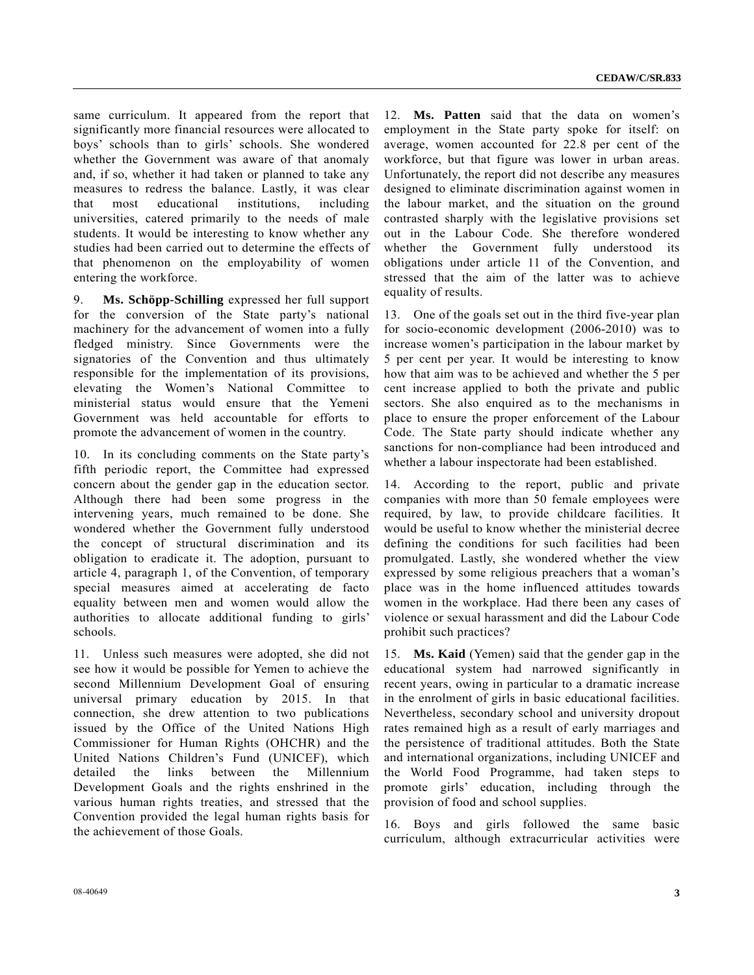same curriculum. It appeared from the report that significantly more financial resources were allocated to boys' schools than to girls' schools. She wondered whether the Government was aware of that anomaly and, if so, whether it had taken or planned to take any measures to redress the balance. Lastly, it was clear that most educational institutions, including universities, catered primarily to the needs of male students. It would be interesting to know whether any studies had been carried out to determine the effects of that phenomenon on the employability of women entering the workforce.

9. **Ms. Schöpp-Schilling** expressed her full support for the conversion of the State party's national machinery for the advancement of women into a fully fledged ministry. Since Governments were the signatories of the Convention and thus ultimately responsible for the implementation of its provisions, elevating the Women's National Committee to ministerial status would ensure that the Yemeni Government was held accountable for efforts to promote the advancement of women in the country.

10. In its concluding comments on the State party's fifth periodic report, the Committee had expressed concern about the gender gap in the education sector. Although there had been some progress in the intervening years, much remained to be done. She wondered whether the Government fully understood the concept of structural discrimination and its obligation to eradicate it. The adoption, pursuant to article 4, paragraph 1, of the Convention, of temporary special measures aimed at accelerating de facto equality between men and women would allow the authorities to allocate additional funding to girls' schools.

11. Unless such measures were adopted, she did not see how it would be possible for Yemen to achieve the second Millennium Development Goal of ensuring universal primary education by 2015. In that connection, she drew attention to two publications issued by the Office of the United Nations High Commissioner for Human Rights (OHCHR) and the United Nations Children's Fund (UNICEF), which detailed the links between the Millennium Development Goals and the rights enshrined in the various human rights treaties, and stressed that the Convention provided the legal human rights basis for the achievement of those Goals.

12. **Ms. Patten** said that the data on women's employment in the State party spoke for itself: on average, women accounted for 22.8 per cent of the workforce, but that figure was lower in urban areas. Unfortunately, the report did not describe any measures designed to eliminate discrimination against women in the labour market, and the situation on the ground contrasted sharply with the legislative provisions set out in the Labour Code. She therefore wondered whether the Government fully understood its obligations under article 11 of the Convention, and stressed that the aim of the latter was to achieve equality of results.

13. One of the goals set out in the third five-year plan for socio-economic development (2006-2010) was to increase women's participation in the labour market by 5 per cent per year. It would be interesting to know how that aim was to be achieved and whether the 5 per cent increase applied to both the private and public sectors. She also enquired as to the mechanisms in place to ensure the proper enforcement of the Labour Code. The State party should indicate whether any sanctions for non-compliance had been introduced and whether a labour inspectorate had been established.

14. According to the report, public and private companies with more than 50 female employees were required, by law, to provide childcare facilities. It would be useful to know whether the ministerial decree defining the conditions for such facilities had been promulgated. Lastly, she wondered whether the view expressed by some religious preachers that a woman's place was in the home influenced attitudes towards women in the workplace. Had there been any cases of violence or sexual harassment and did the Labour Code prohibit such practices?

15. **Ms. Kaid** (Yemen) said that the gender gap in the educational system had narrowed significantly in recent years, owing in particular to a dramatic increase in the enrolment of girls in basic educational facilities. Nevertheless, secondary school and university dropout rates remained high as a result of early marriages and the persistence of traditional attitudes. Both the State and international organizations, including UNICEF and the World Food Programme, had taken steps to promote girls' education, including through the provision of food and school supplies.

16. Boys and girls followed the same basic curriculum, although extracurricular activities were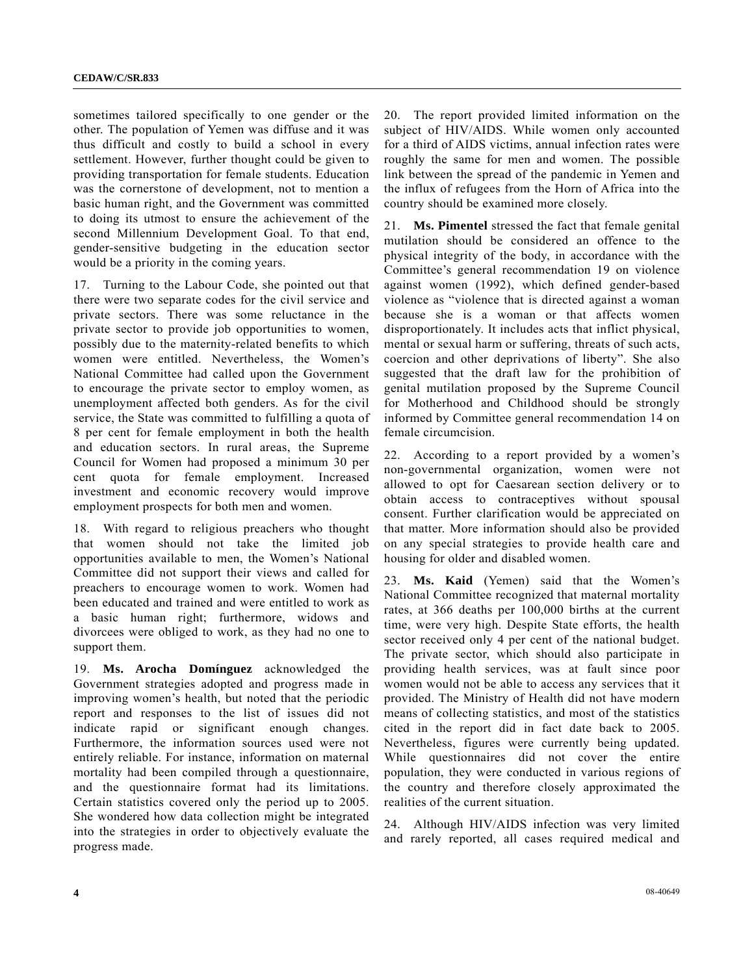sometimes tailored specifically to one gender or the other. The population of Yemen was diffuse and it was thus difficult and costly to build a school in every settlement. However, further thought could be given to providing transportation for female students. Education was the cornerstone of development, not to mention a basic human right, and the Government was committed to doing its utmost to ensure the achievement of the second Millennium Development Goal. To that end, gender-sensitive budgeting in the education sector would be a priority in the coming years.

17. Turning to the Labour Code, she pointed out that there were two separate codes for the civil service and private sectors. There was some reluctance in the private sector to provide job opportunities to women, possibly due to the maternity-related benefits to which women were entitled. Nevertheless, the Women's National Committee had called upon the Government to encourage the private sector to employ women, as unemployment affected both genders. As for the civil service, the State was committed to fulfilling a quota of 8 per cent for female employment in both the health and education sectors. In rural areas, the Supreme Council for Women had proposed a minimum 30 per cent quota for female employment. Increased investment and economic recovery would improve employment prospects for both men and women.

18. With regard to religious preachers who thought that women should not take the limited job opportunities available to men, the Women's National Committee did not support their views and called for preachers to encourage women to work. Women had been educated and trained and were entitled to work as a basic human right; furthermore, widows and divorcees were obliged to work, as they had no one to support them.

19. **Ms. Arocha Domínguez** acknowledged the Government strategies adopted and progress made in improving women's health, but noted that the periodic report and responses to the list of issues did not indicate rapid or significant enough changes. Furthermore, the information sources used were not entirely reliable. For instance, information on maternal mortality had been compiled through a questionnaire, and the questionnaire format had its limitations. Certain statistics covered only the period up to 2005. She wondered how data collection might be integrated into the strategies in order to objectively evaluate the progress made.

20. The report provided limited information on the subject of HIV/AIDS. While women only accounted for a third of AIDS victims, annual infection rates were roughly the same for men and women. The possible link between the spread of the pandemic in Yemen and the influx of refugees from the Horn of Africa into the country should be examined more closely.

21. **Ms. Pimentel** stressed the fact that female genital mutilation should be considered an offence to the physical integrity of the body, in accordance with the Committee's general recommendation 19 on violence against women (1992), which defined gender-based violence as "violence that is directed against a woman because she is a woman or that affects women disproportionately. It includes acts that inflict physical, mental or sexual harm or suffering, threats of such acts, coercion and other deprivations of liberty". She also suggested that the draft law for the prohibition of genital mutilation proposed by the Supreme Council for Motherhood and Childhood should be strongly informed by Committee general recommendation 14 on female circumcision.

22. According to a report provided by a women's non-governmental organization, women were not allowed to opt for Caesarean section delivery or to obtain access to contraceptives without spousal consent. Further clarification would be appreciated on that matter. More information should also be provided on any special strategies to provide health care and housing for older and disabled women.

23. **Ms. Kaid** (Yemen) said that the Women's National Committee recognized that maternal mortality rates, at 366 deaths per 100,000 births at the current time, were very high. Despite State efforts, the health sector received only 4 per cent of the national budget. The private sector, which should also participate in providing health services, was at fault since poor women would not be able to access any services that it provided. The Ministry of Health did not have modern means of collecting statistics, and most of the statistics cited in the report did in fact date back to 2005. Nevertheless, figures were currently being updated. While questionnaires did not cover the entire population, they were conducted in various regions of the country and therefore closely approximated the realities of the current situation.

24. Although HIV/AIDS infection was very limited and rarely reported, all cases required medical and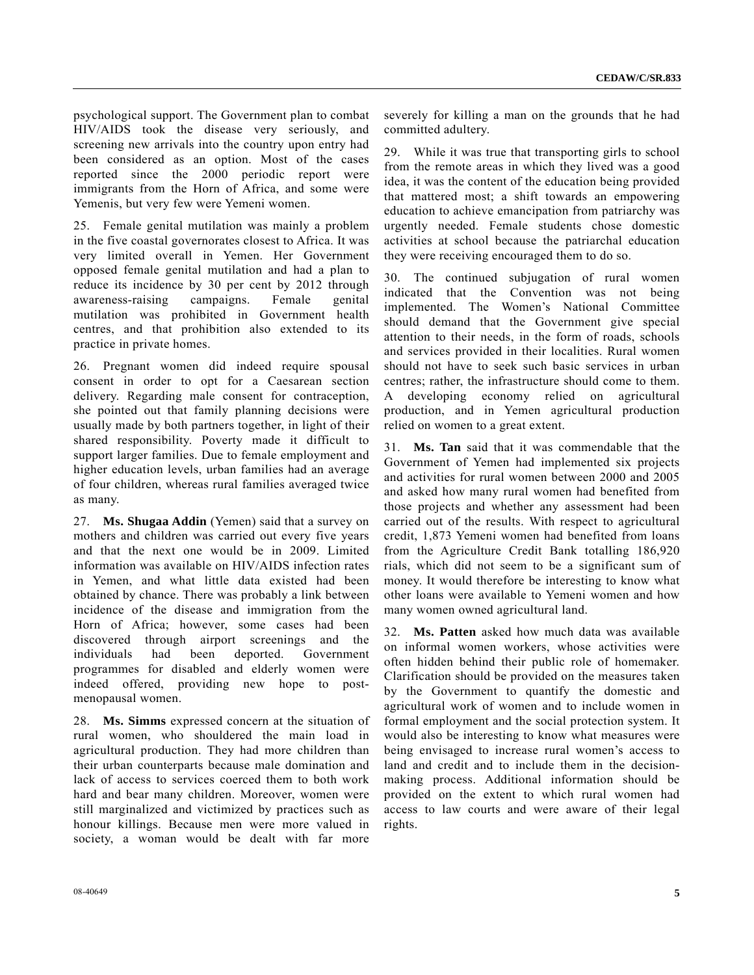psychological support. The Government plan to combat HIV/AIDS took the disease very seriously, and screening new arrivals into the country upon entry had been considered as an option. Most of the cases reported since the 2000 periodic report were immigrants from the Horn of Africa, and some were Yemenis, but very few were Yemeni women.

25. Female genital mutilation was mainly a problem in the five coastal governorates closest to Africa. It was very limited overall in Yemen. Her Government opposed female genital mutilation and had a plan to reduce its incidence by 30 per cent by 2012 through awareness-raising campaigns. Female genital mutilation was prohibited in Government health centres, and that prohibition also extended to its practice in private homes.

26. Pregnant women did indeed require spousal consent in order to opt for a Caesarean section delivery. Regarding male consent for contraception, she pointed out that family planning decisions were usually made by both partners together, in light of their shared responsibility. Poverty made it difficult to support larger families. Due to female employment and higher education levels, urban families had an average of four children, whereas rural families averaged twice as many.

27. **Ms. Shugaa Addin** (Yemen) said that a survey on mothers and children was carried out every five years and that the next one would be in 2009. Limited information was available on HIV/AIDS infection rates in Yemen, and what little data existed had been obtained by chance. There was probably a link between incidence of the disease and immigration from the Horn of Africa; however, some cases had been discovered through airport screenings and the individuals had been deported. Government programmes for disabled and elderly women were indeed offered, providing new hope to postmenopausal women.

28. **Ms. Simms** expressed concern at the situation of rural women, who shouldered the main load in agricultural production. They had more children than their urban counterparts because male domination and lack of access to services coerced them to both work hard and bear many children. Moreover, women were still marginalized and victimized by practices such as honour killings. Because men were more valued in society, a woman would be dealt with far more

severely for killing a man on the grounds that he had committed adultery.

29. While it was true that transporting girls to school from the remote areas in which they lived was a good idea, it was the content of the education being provided that mattered most; a shift towards an empowering education to achieve emancipation from patriarchy was urgently needed. Female students chose domestic activities at school because the patriarchal education they were receiving encouraged them to do so.

30. The continued subjugation of rural women indicated that the Convention was not being implemented. The Women's National Committee should demand that the Government give special attention to their needs, in the form of roads, schools and services provided in their localities. Rural women should not have to seek such basic services in urban centres; rather, the infrastructure should come to them. A developing economy relied on agricultural production, and in Yemen agricultural production relied on women to a great extent.

31. **Ms. Tan** said that it was commendable that the Government of Yemen had implemented six projects and activities for rural women between 2000 and 2005 and asked how many rural women had benefited from those projects and whether any assessment had been carried out of the results. With respect to agricultural credit, 1,873 Yemeni women had benefited from loans from the Agriculture Credit Bank totalling 186,920 rials, which did not seem to be a significant sum of money. It would therefore be interesting to know what other loans were available to Yemeni women and how many women owned agricultural land.

32. **Ms. Patten** asked how much data was available on informal women workers, whose activities were often hidden behind their public role of homemaker. Clarification should be provided on the measures taken by the Government to quantify the domestic and agricultural work of women and to include women in formal employment and the social protection system. It would also be interesting to know what measures were being envisaged to increase rural women's access to land and credit and to include them in the decisionmaking process. Additional information should be provided on the extent to which rural women had access to law courts and were aware of their legal rights.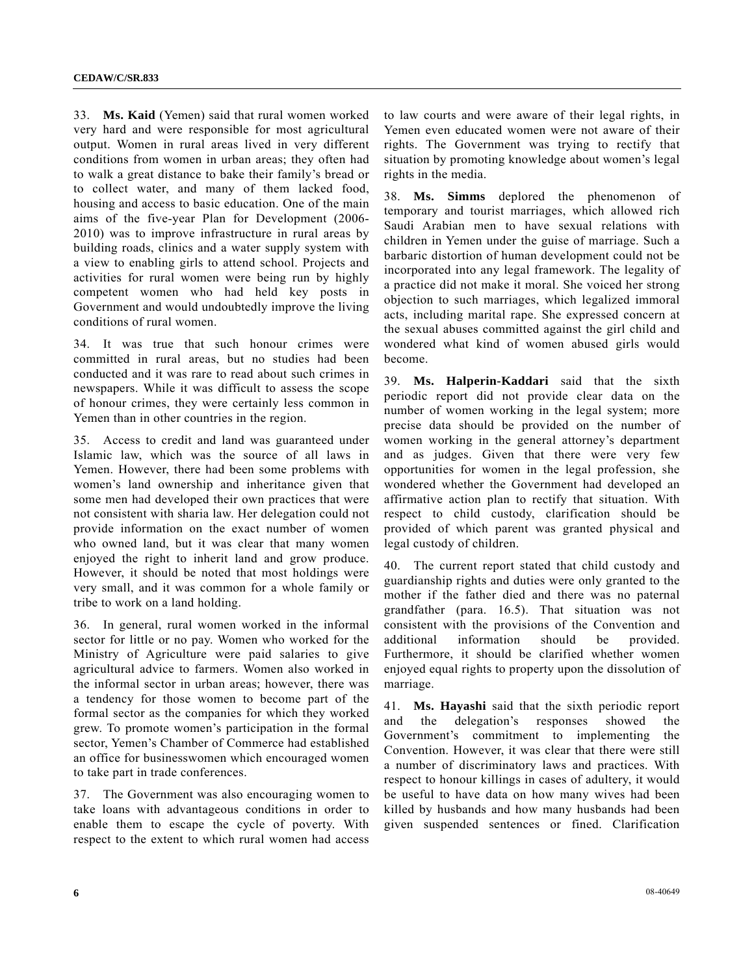33. **Ms. Kaid** (Yemen) said that rural women worked very hard and were responsible for most agricultural output. Women in rural areas lived in very different conditions from women in urban areas; they often had to walk a great distance to bake their family's bread or to collect water, and many of them lacked food, housing and access to basic education. One of the main aims of the five-year Plan for Development (2006- 2010) was to improve infrastructure in rural areas by building roads, clinics and a water supply system with a view to enabling girls to attend school. Projects and activities for rural women were being run by highly competent women who had held key posts in Government and would undoubtedly improve the living conditions of rural women.

34. It was true that such honour crimes were committed in rural areas, but no studies had been conducted and it was rare to read about such crimes in newspapers. While it was difficult to assess the scope of honour crimes, they were certainly less common in Yemen than in other countries in the region.

35. Access to credit and land was guaranteed under Islamic law, which was the source of all laws in Yemen. However, there had been some problems with women's land ownership and inheritance given that some men had developed their own practices that were not consistent with sharia law. Her delegation could not provide information on the exact number of women who owned land, but it was clear that many women enjoyed the right to inherit land and grow produce. However, it should be noted that most holdings were very small, and it was common for a whole family or tribe to work on a land holding.

36. In general, rural women worked in the informal sector for little or no pay. Women who worked for the Ministry of Agriculture were paid salaries to give agricultural advice to farmers. Women also worked in the informal sector in urban areas; however, there was a tendency for those women to become part of the formal sector as the companies for which they worked grew. To promote women's participation in the formal sector, Yemen's Chamber of Commerce had established an office for businesswomen which encouraged women to take part in trade conferences.

37. The Government was also encouraging women to take loans with advantageous conditions in order to enable them to escape the cycle of poverty. With respect to the extent to which rural women had access to law courts and were aware of their legal rights, in Yemen even educated women were not aware of their rights. The Government was trying to rectify that situation by promoting knowledge about women's legal rights in the media.

38. **Ms. Simms** deplored the phenomenon of temporary and tourist marriages, which allowed rich Saudi Arabian men to have sexual relations with children in Yemen under the guise of marriage. Such a barbaric distortion of human development could not be incorporated into any legal framework. The legality of a practice did not make it moral. She voiced her strong objection to such marriages, which legalized immoral acts, including marital rape. She expressed concern at the sexual abuses committed against the girl child and wondered what kind of women abused girls would become.

39. **Ms. Halperin-Kaddari** said that the sixth periodic report did not provide clear data on the number of women working in the legal system; more precise data should be provided on the number of women working in the general attorney's department and as judges. Given that there were very few opportunities for women in the legal profession, she wondered whether the Government had developed an affirmative action plan to rectify that situation. With respect to child custody, clarification should be provided of which parent was granted physical and legal custody of children.

40. The current report stated that child custody and guardianship rights and duties were only granted to the mother if the father died and there was no paternal grandfather (para. 16.5). That situation was not consistent with the provisions of the Convention and additional information should be provided. Furthermore, it should be clarified whether women enjoyed equal rights to property upon the dissolution of marriage.

41. **Ms. Hayashi** said that the sixth periodic report and the delegation's responses showed the Government's commitment to implementing the Convention. However, it was clear that there were still a number of discriminatory laws and practices. With respect to honour killings in cases of adultery, it would be useful to have data on how many wives had been killed by husbands and how many husbands had been given suspended sentences or fined. Clarification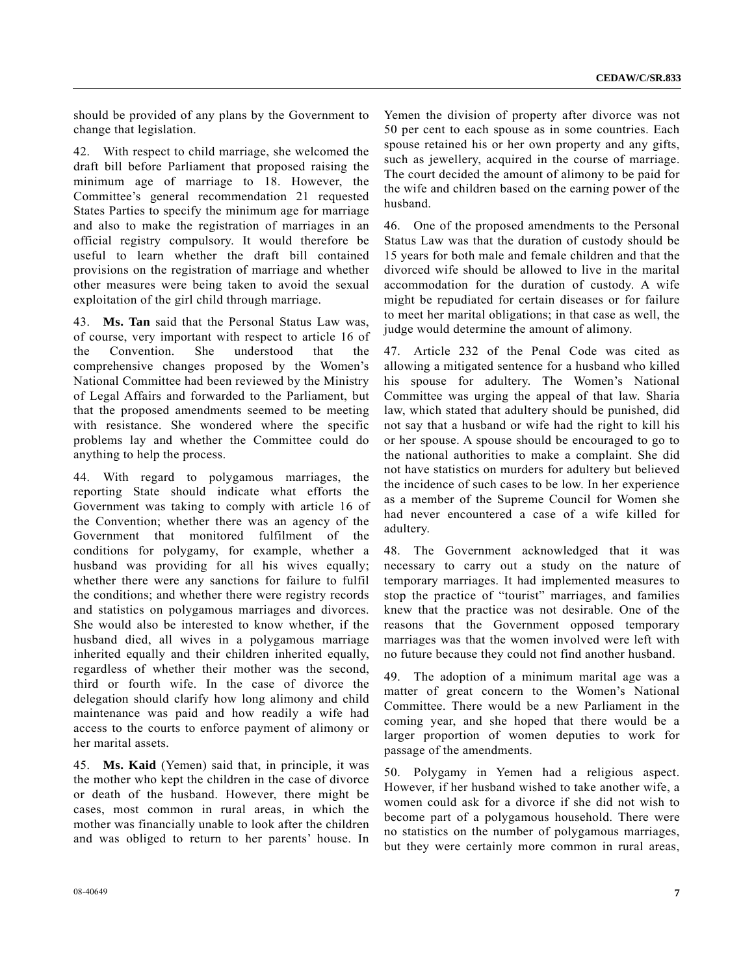should be provided of any plans by the Government to change that legislation.

42. With respect to child marriage, she welcomed the draft bill before Parliament that proposed raising the minimum age of marriage to 18. However, the Committee's general recommendation 21 requested States Parties to specify the minimum age for marriage and also to make the registration of marriages in an official registry compulsory. It would therefore be useful to learn whether the draft bill contained provisions on the registration of marriage and whether other measures were being taken to avoid the sexual exploitation of the girl child through marriage.

43. **Ms. Tan** said that the Personal Status Law was, of course, very important with respect to article 16 of the Convention. She understood that the comprehensive changes proposed by the Women's National Committee had been reviewed by the Ministry of Legal Affairs and forwarded to the Parliament, but that the proposed amendments seemed to be meeting with resistance. She wondered where the specific problems lay and whether the Committee could do anything to help the process.

44. With regard to polygamous marriages, the reporting State should indicate what efforts the Government was taking to comply with article 16 of the Convention; whether there was an agency of the Government that monitored fulfilment of the conditions for polygamy, for example, whether a husband was providing for all his wives equally; whether there were any sanctions for failure to fulfil the conditions; and whether there were registry records and statistics on polygamous marriages and divorces. She would also be interested to know whether, if the husband died, all wives in a polygamous marriage inherited equally and their children inherited equally, regardless of whether their mother was the second, third or fourth wife. In the case of divorce the delegation should clarify how long alimony and child maintenance was paid and how readily a wife had access to the courts to enforce payment of alimony or her marital assets.

45. **Ms. Kaid** (Yemen) said that, in principle, it was the mother who kept the children in the case of divorce or death of the husband. However, there might be cases, most common in rural areas, in which the mother was financially unable to look after the children and was obliged to return to her parents' house. In

Yemen the division of property after divorce was not 50 per cent to each spouse as in some countries. Each spouse retained his or her own property and any gifts, such as jewellery, acquired in the course of marriage. The court decided the amount of alimony to be paid for the wife and children based on the earning power of the husband.

46. One of the proposed amendments to the Personal Status Law was that the duration of custody should be 15 years for both male and female children and that the divorced wife should be allowed to live in the marital accommodation for the duration of custody. A wife might be repudiated for certain diseases or for failure to meet her marital obligations; in that case as well, the judge would determine the amount of alimony.

47. Article 232 of the Penal Code was cited as allowing a mitigated sentence for a husband who killed his spouse for adultery. The Women's National Committee was urging the appeal of that law. Sharia law, which stated that adultery should be punished, did not say that a husband or wife had the right to kill his or her spouse. A spouse should be encouraged to go to the national authorities to make a complaint. She did not have statistics on murders for adultery but believed the incidence of such cases to be low. In her experience as a member of the Supreme Council for Women she had never encountered a case of a wife killed for adultery.

48. The Government acknowledged that it was necessary to carry out a study on the nature of temporary marriages. It had implemented measures to stop the practice of "tourist" marriages, and families knew that the practice was not desirable. One of the reasons that the Government opposed temporary marriages was that the women involved were left with no future because they could not find another husband.

49. The adoption of a minimum marital age was a matter of great concern to the Women's National Committee. There would be a new Parliament in the coming year, and she hoped that there would be a larger proportion of women deputies to work for passage of the amendments.

50. Polygamy in Yemen had a religious aspect. However, if her husband wished to take another wife, a women could ask for a divorce if she did not wish to become part of a polygamous household. There were no statistics on the number of polygamous marriages, but they were certainly more common in rural areas,